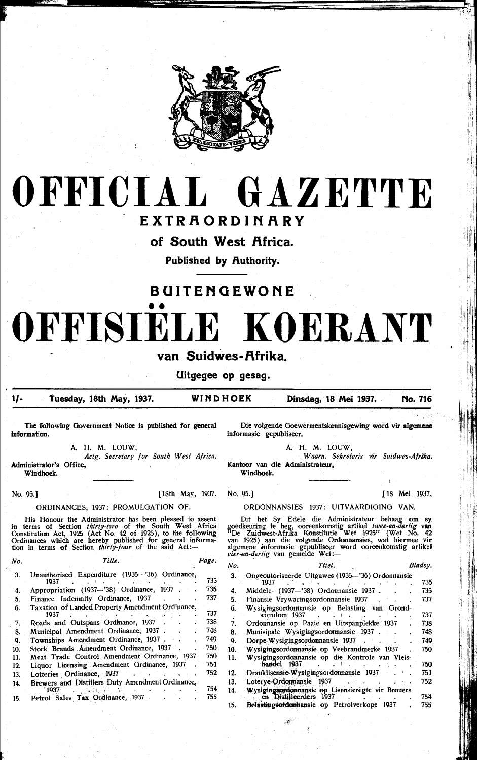

# OFFICIAL GAZETTE

# EXTRAORDINARY

of South West Africa.

Published by Authority.

# **BUITENGEWONE** OFFISTE **KOERANT** van Suidwes-Afrika.

Uitgegee op gesag.

#### $1/-$ Tuesday, 18th May, 1937.

WINDHOEK

[18th May, 1937.

Dinsdag, 18 Mei 1937. No. 716

The following Government Notice is published for general information.

A. H. M. LOUW,

Actg. Secretary for South West Africa. Administrator's Office, Windhoek.

No. 95.]

### ORDINANCES, 1937: PROMULGATION OF.

His Honour the Administrator has been pleased to assent<br>in terms of Section *thirty-two* of the South West Africa<br>Constitution Act, 1925 (Act No. 42 of 1925), to the following<br>Ordinances which are hereby published for gene

| No. | Title.                                                   | Page. |
|-----|----------------------------------------------------------|-------|
| 3.  | Unauthorised Expenditure (1935-'36) Ordinance,<br>1937   | 735   |
| 4.  | Appropriation (1937-'38) Ordinance, 1937                 | 735   |
| 5.  | Finance Indemnity Ordinance, 1937                        | 737   |
| 6.  | Taxation of Landed Property Amendment Ordinance,<br>1937 | 737   |
| 7.  | Roads and Outspans Ordinance, 1937                       | 738   |
| 8.  | Municipal Amendment Ordinance, 1937 .                    | 748   |
| 9.  | Townships Amendment Ordinance, 1937                      | 740   |
| 10. | Stock Brands Amendment Ordinance, 1937                   | 750   |
| 11. | Meat Trade Control Amendment Ordinance, 1937             | 750   |
| 12. | Liquor Licensing Amendment Ordinance, 1937               | 751   |
| 13. | Lotteries Ordinance, 1937                                | 752   |
| 14. | Brewers and Distillers Duty Amendment Ordinance,<br>1937 | 754   |
| 15. | Petrol Sales Tax Ordinance, 1937.                        | 755   |

Die volgende Goewermentskennisgewing word vir algemene informasie gepubliseer.

A. H. M. LOUW,

 $\mathcal{L}$ 

Waarn. Sekretaris vir Suidwes-Afrika. Kantoor van die Administrateur, Windhoek.

No. 95.] J18 Mei 1937.

ORDONNANSIES 1937: UITVAARDIGING VAN.

Dit het Sy Edele die Administrateur behaag om sy goedkeuring te heg, ooreenkomstig artikel twee-en-dertig van "De Zuidwest-Afrika Konstitutie Wet 1925" (Wet No. 42 van 1925) aan die volgende Ordonnansies, wat hiermee vir algemene informasie gepubliseer word ooreenkomstig artikel vier-en-dertig van gemelde Wet:-

| No. | Titel.                                                                         | Bladsy. |
|-----|--------------------------------------------------------------------------------|---------|
| 3.  | Ongeoutoriseerde Uitgawes (1935-'36) Ordonnansie<br>1937                       | 735     |
| 4.  | Middele- (1937-'38) Ordonnansie 1937                                           | 735     |
| 5.  | Finansie Vrywaringsordonnansie 1937                                            | 737     |
| 6.  | Wysigingsordonnansie op Belasting van<br>Grond-<br>eiendom 1937                | 737     |
| ź.  | Ordonnansie op Paaie en Uitspanplekke 1937                                     | 738     |
| 8.  | Munisipale Wysigingsordonnansie 1937.                                          | 748     |
| 9.  | Dorpe-Wysigingsordonnansie 1937                                                | 749     |
| 10. | Wysigingsordonnausie op Veebrandmerke 1937                                     | 750     |
| 11. | Wysigingsordonnansie op die Kontrole van Vleis-<br>handel 1937                 | 750     |
| 12. | Dranklisensie-Wysigingsordonnansie 1937                                        | 751     |
| 13. | Loterye-Ordonnansie<br>1937                                                    | 752     |
| 14. | Wysigingsordonnansie op Lisensieregte vir Brouers<br>en Distilleerders<br>1937 | 754     |
| 15. | Belastingsordomnansie op Petrolverkope 1937                                    | 755     |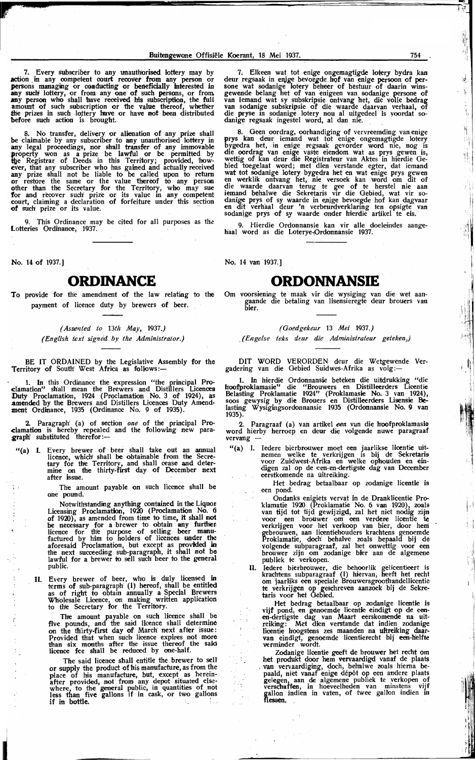7. Every subscriber to any unauthorised lottery may by action in any competent court recover from any person or action in any competent court recover from any person or<br>persons managing or conducting or beneficially interested in<br>any such lottery, or from any one of such persons, or from<br>any person who shall have received his subscr before such action is brought.

8. No transfer, delivery or alienation of any prize shall<br>be claimable by any subscriber to any unauthorised lottery in<br>any legal proceedings, nor shall transfer of any immovable<br>property won as a prize be lawful or be per

9. This Ordinance may be cited for all purposes as the Lotteries Ordinance, 1937.

No. 14 of 1937.1

 $\frac{1}{2}$ 

 $\begin{array}{c} 1 \\ 1 \\ 2 \end{array}$ 

## **ORDINANCE**

To provide for the amendment of the law relating to the payment of licence duty by brewers of beer.

> (Assented to 13th May, 1937.) (English text signed by the Administrator.)

BE IT ORDAINED by the Legislative Assembly for the Territory of South' West Africa as follows:-

1. In this Ordinance the expression "the principal Pro-<br>clamation" shall mean the Brewers and Distillers Licences<br>Duty Proclamation, 1924 (Proclamation No. 3 of 1924), as<br>amended by the Brewers and Distillers Licences Duty

2. Paragraph (a) of section one of the principal Pro-<br>clamation is hereby repealed and the following new paragraph substituted therefor:—

Every brewer of beer shall take out an annual licence, which shall be obtainable from the Secretary for the Territory, and shall cease and determine on the thirty-first day of December next  $"$ (a) I. after issue.

> The amount payable on such licence shall be one pound.

> Notwithstanding anything contained in the Liquor<br>Licensing Proclamation, 1920 (Proclamation No. 6<br>of 1920), as amended from time to time, it shall not or 1920), as amended from time to time, it shall not<br>be necessary for a brewer to obtain any further<br>licence for the purpose of selling beer manu-<br>factured by him to holders of licences under the<br>aforesaid Proclamation, bu public.

II. Every brewer of beer, who is duly licensed in terms of sub-paragraph  $(1)$  hereof, shall be entitled as of right to obtain annually a Special Brewers Wholesale Licence, on making written application to the Secretary f

The amount payable on such licence shall be<br>five pounds, and the said licence shall determine provided that when such a facts have the same in the thirty-first day of March next after issue:<br>Provided that when such licence expires not more<br>than six months after the issue thereof the said<br>licence fee shall be reduce

The said licence shall entitle the brewer to sell or supply the product of his manufacture, as from the<br>place of his manufacture, but, except as herein-<br>after provided, not from any depot situated else-<br>where, to the general public, in quantities of not<br>less than five gal if in bottle.

7. Elkeen wat tot enige ongemagtigde lotery bydra kan 7. Elkeen wat tot enige ongemagtigde lotery bydra kan deur regsaak in enige bevoegde hof van enige persoon of persoon vat sodanige lotery beheer of bestuur of daarin wins-<br>gewende belang het of van enigeen van sodanige per danige regsaak ingestel word, al dan nie.

8. Geen oordrag, oorhandiging of vervreemding van enige<br>prys kan deur iemand wat tot enige ongemagtigde lotery<br>bygedra het, in enige regsaak gevorder word nie, nog is<br>die oordrag van enige vaste eiendom wat as prys gewen i bied toegelaat word; met dien verstande egter, dat iemand<br>wat tot sodanige lotery bygedra het en wat enige prys gewen<br>en werklik ontvang het, nie versoek kan word om dit of<br>die waarde daarvan terug te gee of te herstel nie

9. Hierdie Ordonnansie kan vir alle doeleindes aangehaal word as die Loterye-Ordonnansie 1937.

No. 14 van 1937.]

 $\overline{1}$ 

 $\sim$  $\cdot$ 

 $\ddot{\phantom{a}}$ 

C,

# **ORDONNANSIE**

Om voorsiening te maak vir die wysiging van die wet aan-<br>gaande die betaling van lisensieregte deur brouers van<br>bier.

### (Goedgekeur 13 Mei 1937.)

(Engelse teks deur die Administrateur geteken.)

DIT WORD VERORDEN deur die Wetgewende Vergadering van die Gebied Suidwes-Afrika as volg:-

1. In hierdie Ordonnansie beteken die uitdrukking "die toofproklamasie" die "Brouwers en Distilleerders Licentie Belasting Proklamatie 1924" (Proklamasie No. 3 van 1924), Londoning Constantine 1924 (Proklamask NO. 3 Van 1924),<br>soos gewysig by die Brouers en Distilleerders Lisensie Be-<br>lasting Wysigingsordonnansie 1935 (Ordonnansie No. 9 van  $1935$ ).

2. Paragraaf (a) van artikel een van die hoofproklamasie word hierby herroep en deur die volgende nuwe paragraaf vervang

"(a) I. Iedere bierbrouwer moet een jaarlikse licentie uitnemen welke te verkrijgen is bij de Sekretaris voor Zuidwest-Afrika en welke ophouden en eindigen zal op de een-en-dertigste dag van December eerstkomende na uitrei

Het bedrag betaalbaar op zodanige licentie is een pond.

Ondanks enigiets vervat in de Dranklicentie Pro-<br>klamatie 1920 (Proklamatie No. 6 van 1920), zoals<br>van tijd tot tijd gewijzigd, zal het niet nodig zijn van tijd tot tijd gewijzigd, zal het niet noaig zijn<br>voor een brouwer om een verdere licentie te<br>verkrijgen voor het verkoop van bier, door hem<br>gebrouwen, aan licentiehouders krachtens genoemde<br>Proklamatie, doch behalve zo

Iedere bierbrouwer, die behoorlik gelicentieert is<br>krachtens subparagraaf (I) hiervan, heeft het recht<br>om jaarliks een speciale Brouwersgroothandellicentie П. te verkrijgen op geschreven aanzoek bij de Sekre-<br>taris voor het Gebied.

tails voor het Gebied.<br>
Het bedrag betaalbaar op zodanige licentie is<br>
vijf pond, en genoemde licentie eindigt op de een-<br>
een-dertigste dag van Maart eerskomende na uit-<br>
reiking: Met dien verstande dat indien zodanige<br>
l

Zodanige licentie geeft de brouwer het recht om Locality the product the present we be the product that the plants<br>van vervaardiging, doch, behalve zoals hierna be-<br>paald, niet vanaf enige dépôt op een andere plaats<br>gelegen, aan de algemene publiek te verkopen of<br>versch communism, in nonverturement van minstens vijf<br>gallon indien in vaten, of twee gallon indien in<br>flessen.